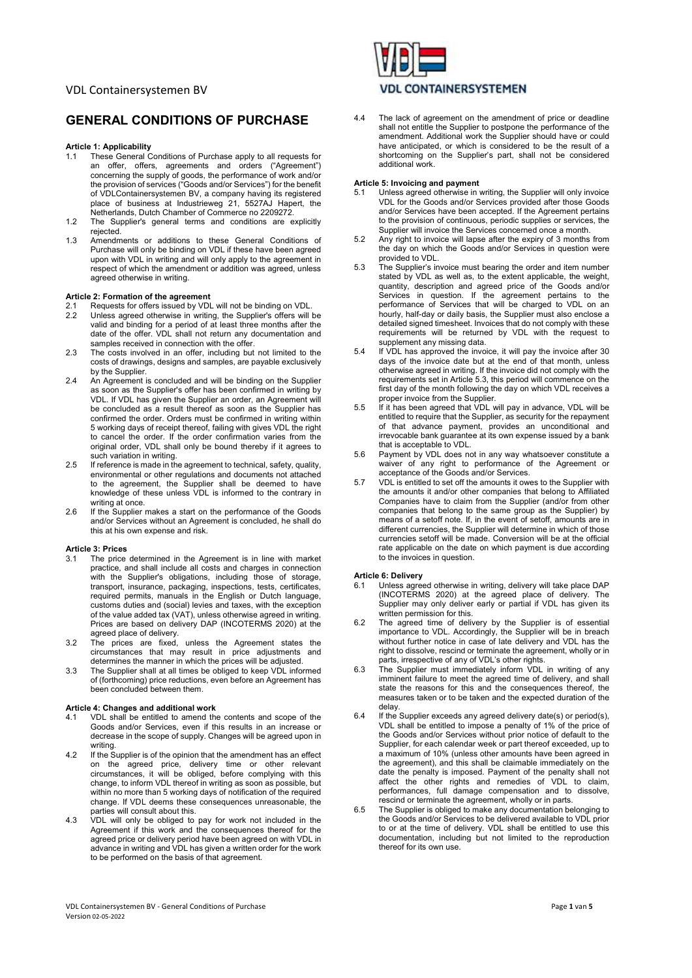# GENERAL CONDITIONS OF PURCHASE

## Article 1: Applicability

- 1.1 These General Conditions of Purchase apply to all requests for an offer, offers, agreements and orders ("Agreement") concerning the supply of goods, the performance of work and/or the provision of services ("Goods and/or Services") for the benefit of VDLContainersystemen BV, a company having its registered place of business at Industrieweg 21, 5527AJ Hapert, the Netherlands, Dutch Chamber of Commerce no 2209272.
- 1.2 The Supplier's general terms and conditions are explicitly rejected.
- 1.3 Amendments or additions to these General Conditions of Purchase will only be binding on VDL if these have been agreed upon with VDL in writing and will only apply to the agreement in respect of which the amendment or addition was agreed, unless agreed otherwise in writing.

### Article 2: Formation of the agreement

- 2.1 Requests for offers issued by VDL will not be binding on VDL.<br>2.2 Unless agreed otherwise in writing, the Supplier's offers will
- Unless agreed otherwise in writing, the Supplier's offers will be valid and binding for a period of at least three months after the date of the offer. VDL shall not return any documentation and samples received in connection with the offer.
- 2.3 The costs involved in an offer, including but not limited to the costs of drawings, designs and samples, are payable exclusively by the Supplier.
- 2.4 An Agreement is concluded and will be binding on the Supplier as soon as the Supplier's offer has been confirmed in writing by VDL. If VDL has given the Supplier an order, an Agreement will be concluded as a result thereof as soon as the Supplier has confirmed the order. Orders must be confirmed in writing within 5 working days of receipt thereof, failing with gives VDL the right to cancel the order. If the order confirmation varies from the original order, VDL shall only be bound thereby if it agrees to such variation in writing.
- 2.5 If reference is made in the agreement to technical, safety, quality, environmental or other regulations and documents not attached to the agreement, the Supplier shall be deemed to have knowledge of these unless VDL is informed to the contrary in writing at once.
- 2.6 If the Supplier makes a start on the performance of the Goods and/or Services without an Agreement is concluded, he shall do this at his own expense and risk.

#### Article 3: Prices

- 3.1 The price determined in the Agreement is in line with market practice, and shall include all costs and charges in connection with the Supplier's obligations, including those of storage, transport, insurance, packaging, inspections, tests, certificates, required permits, manuals in the English or Dutch language, customs duties and (social) levies and taxes, with the exception of the value added tax (VAT), unless otherwise agreed in writing. Prices are based on delivery DAP (INCOTERMS 2020) at the agreed place of delivery.
- 3.2 The prices are fixed, unless the Agreement states the circumstances that may result in price adjustments and determines the manner in which the prices will be adjusted.
- 3.3 The Supplier shall at all times be obliged to keep VDL informed of (forthcoming) price reductions, even before an Agreement has been concluded between them.

## Article 4: Changes and additional work

- 4.1 VDL shall be entitled to amend the contents and scope of the Goods and/or Services, even if this results in an increase or decrease in the scope of supply. Changes will be agreed upon in writing.
- 4.2 If the Supplier is of the opinion that the amendment has an effect on the agreed price, delivery time or other relevant circumstances, it will be obliged, before complying with this change, to inform VDL thereof in writing as soon as possible, but within no more than 5 working days of notification of the required change. If VDL deems these consequences unreasonable, the parties will consult about this.
- 4.3 VDL will only be obliged to pay for work not included in the Agreement if this work and the consequences thereof for the agreed price or delivery period have been agreed on with VDL in advance in writing and VDL has given a written order for the work to be performed on the basis of that agreement.



4.4 The lack of agreement on the amendment of price or deadline shall not entitle the Supplier to postpone the performance of the amendment. Additional work the Supplier should have or could have anticipated, or which is considered to be the result of a shortcoming on the Supplier's part, shall not be considered additional work.

#### Article 5: Invoicing and payment

- Unless agreed otherwise in writing, the Supplier will only invoice VDL for the Goods and/or Services provided after those Goods and/or Services have been accepted. If the Agreement pertains to the provision of continuous, periodic supplies or services, the Supplier will invoice the Services concerned once a month.
- 5.2 Any right to invoice will lapse after the expiry of 3 months from the day on which the Goods and/or Services in question were provided to VDL.
- 5.3 The Supplier's invoice must bearing the order and item number stated by VDL as well as, to the extent applicable, the weight, quantity, description and agreed price of the Goods and/or Services in question. If the agreement pertains to the performance of Services that will be charged to VDL on an hourly, half-day or daily basis, the Supplier must also enclose a detailed signed timesheet. Invoices that do not comply with these requirements will be returned by VDL with the request to supplement any missing data.
- 5.4 If VDL has approved the invoice, it will pay the invoice after 30 days of the invoice date but at the end of that month, unless otherwise agreed in writing. If the invoice did not comply with the requirements set in Article 5.3, this period will commence on the first day of the month following the day on which VDL receives a proper invoice from the Supplier.
- 5.5 If it has been agreed that VDL will pay in advance, VDL will be entitled to require that the Supplier, as security for the repayment of that advance payment, provides an unconditional and irrevocable bank guarantee at its own expense issued by a bank that is acceptable to VDL.
- 5.6 Payment by VDL does not in any way whatsoever constitute a waiver of any right to performance of the Agreement or acceptance of the Goods and/or Services.
- 5.7 VDL is entitled to set off the amounts it owes to the Supplier with the amounts it and/or other companies that belong to Affiliated Companies have to claim from the Supplier (and/or from other companies that belong to the same group as the Supplier) by means of a setoff note. If, in the event of setoff, amounts are in different currencies, the Supplier will determine in which of those currencies setoff will be made. Conversion will be at the official rate applicable on the date on which payment is due according to the invoices in question.

#### Article 6: Delivery

- 6.1 Unless agreed otherwise in writing, delivery will take place DAP (INCOTERMS 2020) at the agreed place of delivery. The Supplier may only deliver early or partial if VDL has given its written permission for this.
- 6.2 The agreed time of delivery by the Supplier is of essential importance to VDL. Accordingly, the Supplier will be in breach without further notice in case of late delivery and VDL has the right to dissolve, rescind or terminate the agreement, wholly or in parts, irrespective of any of VDL's other rights.
- 6.3 The Supplier must immediately inform VDL in writing of any imminent failure to meet the agreed time of delivery, and shall state the reasons for this and the consequences thereof, the measures taken or to be taken and the expected duration of the delay.
- 6.4 If the Supplier exceeds any agreed delivery date(s) or period(s), VDL shall be entitled to impose a penalty of 1% of the price of the Goods and/or Services without prior notice of default to the Supplier, for each calendar week or part thereof exceeded, up to a maximum of 10% (unless other amounts have been agreed in the agreement), and this shall be claimable immediately on the date the penalty is imposed. Payment of the penalty shall not affect the other rights and remedies of VDL to claim, performances, full damage compensation and to dissolve, rescind or terminate the agreement, wholly or in parts.
- 6.5 The Supplier is obliged to make any documentation belonging to the Goods and/or Services to be delivered available to VDL prior to or at the time of delivery. VDL shall be entitled to use this documentation, including but not limited to the reproduction thereof for its own use.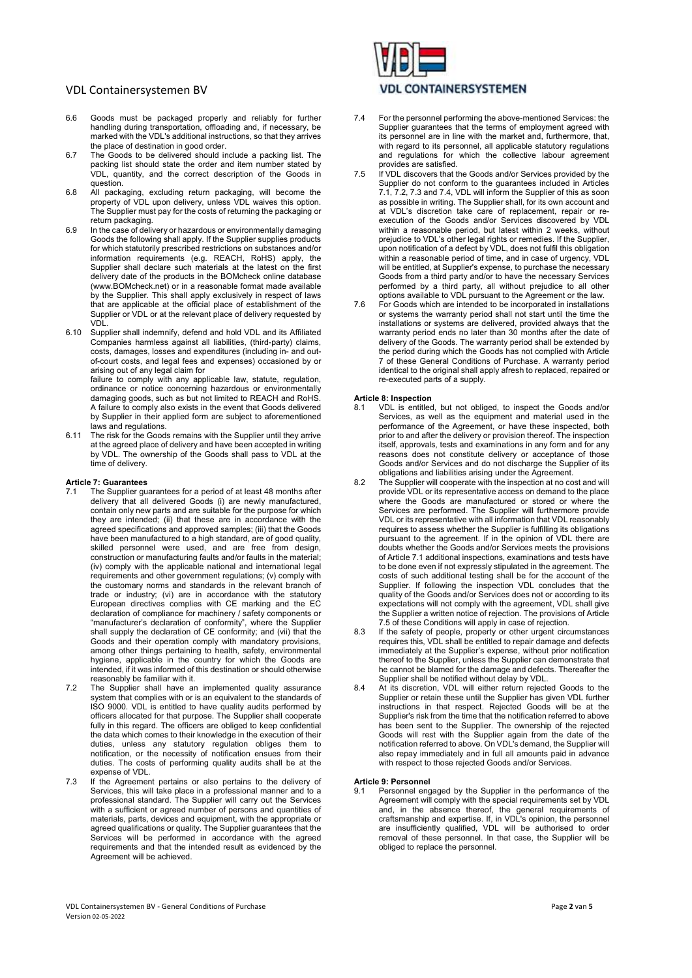- 6.6 Goods must be packaged properly and reliably for further handling during transportation, offloading and, if necessary, be marked with the VDL's additional instructions, so that they arrives the place of destination in good order.
- 6.7 The Goods to be delivered should include a packing list. The packing list should state the order and item number stated by VDL, quantity, and the correct description of the Goods in question.
- 6.8 All packaging, excluding return packaging, will become the property of VDL upon delivery, unless VDL waives this option. The Supplier must pay for the costs of returning the packaging or return packaging.
- 6.9 In the case of delivery or hazardous or environmentally damaging Goods the following shall apply. If the Supplier supplies products for which statutorily prescribed restrictions on substances and/or information requirements (e.g. REACH, RoHS) apply, the Supplier shall declare such materials at the latest on the first delivery date of the products in the BOMcheck online database (www.BOMcheck.net) or in a reasonable format made available by the Supplier. This shall apply exclusively in respect of laws that are applicable at the official place of establishment of the Supplier or VDL or at the relevant place of delivery requested by VDL.
- 6.10 Supplier shall indemnify, defend and hold VDL and its Affiliated Companies harmless against all liabilities, (third-party) claims, costs, damages, losses and expenditures (including in- and outof-court costs, and legal fees and expenses) occasioned by or arising out of any legal claim for

failure to comply with any applicable law, statute, regulation, ordinance or notice concerning hazardous or environmentally damaging goods, such as but not limited to REACH and RoHS. A failure to comply also exists in the event that Goods delivered by Supplier in their applied form are subject to aforementioned laws and regulations.

6.11 The risk for the Goods remains with the Supplier until they arrive at the agreed place of delivery and have been accepted in writing by VDL. The ownership of the Goods shall pass to VDL at the time of delivery.

#### Article 7: Guarantees

- The Supplier guarantees for a period of at least 48 months after delivery that all delivered Goods (i) are newly manufactured, contain only new parts and are suitable for the purpose for which they are intended; (ii) that these are in accordance with the agreed specifications and approved samples; (iii) that the Goods have been manufactured to a high standard, are of good quality, skilled personnel were used, and are free from design, construction or manufacturing faults and/or faults in the material; (iv) comply with the applicable national and international legal requirements and other government regulations; (v) comply with the customary norms and standards in the relevant branch of trade or industry; (vi) are in accordance with the statutory European directives complies with CE marking and the EC declaration of compliance for machinery / safety components or "manufacturer's declaration of conformity", where the Supplier shall supply the declaration of CE conformity; and (vii) that the Goods and their operation comply with mandatory provisions, among other things pertaining to health, safety, environmental hygiene, applicable in the country for which the Goods are intended, if it was informed of this destination or should otherwise reasonably be familiar with it.
- 7.2 The Supplier shall have an implemented quality assurance system that complies with or is an equivalent to the standards of ISO 9000. VDL is entitled to have quality audits performed by officers allocated for that purpose. The Supplier shall cooperate fully in this regard. The officers are obliged to keep confidential the data which comes to their knowledge in the execution of their duties, unless any statutory regulation obliges them to notification, or the necessity of notification ensues from their duties. The costs of performing quality audits shall be at the expense of VDL.
- 7.3 If the Agreement pertains or also pertains to the delivery of Services, this will take place in a professional manner and to a professional standard. The Supplier will carry out the Services with a sufficient or agreed number of persons and quantities of materials, parts, devices and equipment, with the appropriate or agreed qualifications or quality. The Supplier guarantees that the Services will be performed in accordance with the agreed requirements and that the intended result as evidenced by the Agreement will be achieved.



- 7.4 For the personnel performing the above-mentioned Services: the Supplier guarantees that the terms of employment agreed with its personnel are in line with the market and, furthermore, that, with regard to its personnel, all applicable statutory regulations and regulations for which the collective labour agreement provides are satisfied.
- 7.5 If VDL discovers that the Goods and/or Services provided by the Supplier do not conform to the guarantees included in Articles 7.1, 7.2, 7.3 and 7.4, VDL will inform the Supplier of this as soon as possible in writing. The Supplier shall, for its own account and at VDL's discretion take care of replacement, repair or reexecution of the Goods and/or Services discovered by VDL within a reasonable period, but latest within 2 weeks, without prejudice to VDL's other legal rights or remedies. If the Supplier, upon notification of a defect by VDL, does not fulfil this obligation within a reasonable period of time, and in case of urgency, VDL will be entitled, at Supplier's expense, to purchase the necessary Goods from a third party and/or to have the necessary Services performed by a third party, all without prejudice to all other options available to VDL pursuant to the Agreement or the law.
- 7.6 For Goods which are intended to be incorporated in installations or systems the warranty period shall not start until the time the installations or systems are delivered, provided always that the warranty period ends no later than 30 months after the date of delivery of the Goods. The warranty period shall be extended by the period during which the Goods has not complied with Article 7 of these General Conditions of Purchase. A warranty period identical to the original shall apply afresh to replaced, repaired or re-executed parts of a supply.

#### Article 8: Inspection

- VDL is entitled, but not obliged, to inspect the Goods and/or Services, as well as the equipment and material used in the performance of the Agreement, or have these inspected, both prior to and after the delivery or provision thereof. The inspection itself, approvals, tests and examinations in any form and for any reasons does not constitute delivery or acceptance of those Goods and/or Services and do not discharge the Supplier of its obligations and liabilities arising under the Agreement.
- 8.2 The Supplier will cooperate with the inspection at no cost and will provide VDL or its representative access on demand to the place where the Goods are manufactured or stored or where the Services are performed. The Supplier will furthermore provide VDL or its representative with all information that VDL reasonably requires to assess whether the Supplier is fulfilling its obligations pursuant to the agreement. If in the opinion of VDL there are doubts whether the Goods and/or Services meets the provisions of Article 7.1 additional inspections, examinations and tests have to be done even if not expressly stipulated in the agreement. The costs of such additional testing shall be for the account of the Supplier. If following the inspection VDL concludes that the quality of the Goods and/or Services does not or according to its expectations will not comply with the agreement, VDL shall give the Supplier a written notice of rejection. The provisions of Article 7.5 of these Conditions will apply in case of rejection.
- 8.3 If the safety of people, property or other urgent circumstances requires this, VDL shall be entitled to repair damage and defects immediately at the Supplier's expense, without prior notification thereof to the Supplier, unless the Supplier can demonstrate that he cannot be blamed for the damage and defects. Thereafter the Supplier shall be notified without delay by VDL.
- 8.4 At its discretion, VDL will either return rejected Goods to the Supplier or retain these until the Supplier has given VDL further instructions in that respect. Rejected Goods will be at the Supplier's risk from the time that the notification referred to above has been sent to the Supplier. The ownership of the rejected Goods will rest with the Supplier again from the date of the notification referred to above. On VDL's demand, the Supplier will also repay immediately and in full all amounts paid in advance with respect to those rejected Goods and/or Services.

#### Article 9: Personnel

9.1 Personnel engaged by the Supplier in the performance of the Agreement will comply with the special requirements set by VDL and, in the absence thereof, the general requirements of craftsmanship and expertise. If, in VDL's opinion, the personnel are insufficiently qualified, VDL will be authorised to order removal of these personnel. In that case, the Supplier will be obliged to replace the personnel.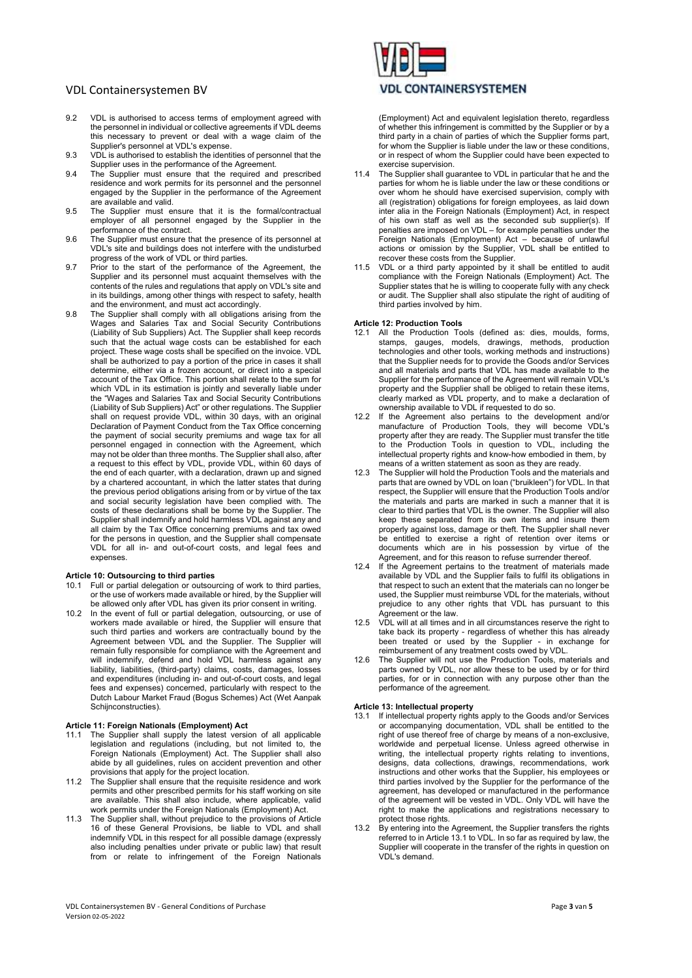- 9.2 VDL is authorised to access terms of employment agreed with the personnel in individual or collective agreements if VDL deems this necessary to prevent or deal with a wage claim of the Supplier's personnel at VDL's expense.
- 9.3 VDL is authorised to establish the identities of personnel that the Supplier uses in the performance of the Agreement.
- 9.4 The Supplier must ensure that the required and prescribed residence and work permits for its personnel and the personnel engaged by the Supplier in the performance of the Agreement are available and valid.
- 9.5 The Supplier must ensure that it is the formal/contractual employer of all personnel engaged by the Supplier in the performance of the contract.
- 9.6 The Supplier must ensure that the presence of its personnel at VDL's site and buildings does not interfere with the undisturbed progress of the work of VDL or third parties.
- 9.7 Prior to the start of the performance of the Agreement, the Supplier and its personnel must acquaint themselves with the contents of the rules and regulations that apply on VDL's site and in its buildings, among other things with respect to safety, health and the environment, and must act accordingly.
- 9.8 The Supplier shall comply with all obligations arising from the Wages and Salaries Tax and Social Security Contributions (Liability of Sub Suppliers) Act. The Supplier shall keep records such that the actual wage costs can be established for each project. These wage costs shall be specified on the invoice. VDL shall be authorized to pay a portion of the price in cases it shall determine, either via a frozen account, or direct into a special account of the Tax Office. This portion shall relate to the sum for which VDL in its estimation is jointly and severally liable under the "Wages and Salaries Tax and Social Security Contributions (Liability of Sub Suppliers) Act" or other regulations. The Supplier shall on request provide VDL, within 30 days, with an original Declaration of Payment Conduct from the Tax Office concerning the payment of social security premiums and wage tax for all personnel engaged in connection with the Agreement, which may not be older than three months. The Supplier shall also, after a request to this effect by VDL, provide VDL, within 60 days of the end of each quarter, with a declaration, drawn up and signed by a chartered accountant, in which the latter states that during the previous period obligations arising from or by virtue of the tax and social security legislation have been complied with. The costs of these declarations shall be borne by the Supplier. The Supplier shall indemnify and hold harmless VDL against any and all claim by the Tax Office concerning premiums and tax owed for the persons in question, and the Supplier shall compensate VDL for all in- and out-of-court costs, and legal fees and expenses.

#### Article 10: Outsourcing to third parties

- Full or partial delegation or outsourcing of work to third parties, or the use of workers made available or hired, by the Supplier will be allowed only after VDL has given its prior consent in writing.
- 10.2 In the event of full or partial delegation, outsourcing, or use of workers made available or hired, the Supplier will ensure that such third parties and workers are contractually bound by the Agreement between VDL and the Supplier. The Supplier will remain fully responsible for compliance with the Agreement and will indemnify, defend and hold VDL harmless against any liability, liabilities, (third-party) claims, costs, damages, losses and expenditures (including in- and out-of-court costs, and legal fees and expenses) concerned, particularly with respect to the Dutch Labour Market Fraud (Bogus Schemes) Act (Wet Aanpak Schijnconstructies).

#### Article 11: Foreign Nationals (Employment) Act

- 11.1 The Supplier shall supply the latest version of all applicable legislation and regulations (including, but not limited to, the Foreign Nationals (Employment) Act. The Supplier shall also abide by all guidelines, rules on accident prevention and other provisions that apply for the project location.
- 11.2 The Supplier shall ensure that the requisite residence and work permits and other prescribed permits for his staff working on site are available. This shall also include, where applicable, valid work permits under the Foreign Nationals (Employment) Act.
- 11.3 The Supplier shall, without prejudice to the provisions of Article 16 of these General Provisions, be liable to VDL and shall indemnify VDL in this respect for all possible damage (expressly also including penalties under private or public law) that result from or relate to infringement of the Foreign Nationals



(Employment) Act and equivalent legislation thereto, regardless of whether this infringement is committed by the Supplier or by a third party in a chain of parties of which the Supplier forms part, for whom the Supplier is liable under the law or these conditions, or in respect of whom the Supplier could have been expected to exercise supervision.

- 11.4 The Supplier shall guarantee to VDL in particular that he and the parties for whom he is liable under the law or these conditions or over whom he should have exercised supervision, comply with all (registration) obligations for foreign employees, as laid down inter alia in the Foreign Nationals (Employment) Act, in respect of his own staff as well as the seconded sub supplier(s). If penalties are imposed on VDL – for example penalties under the Foreign Nationals (Employment) Act – because of unlawful<br>potions of unlawful extensive in the contract of unlawful actions or omission by the Supplier, VDL shall be entitled to recover these costs from the Supplier.
- VDL or a third party appointed by it shall be entitled to audit compliance with the Foreign Nationals (Employment) Act. The Supplier states that he is willing to cooperate fully with any check or audit. The Supplier shall also stipulate the right of auditing of third parties involved by him.

## Article 12: Production Tools

- 12.1 All the Production Tools (defined as: dies, moulds, forms, stamps, gauges, models, drawings, methods, production technologies and other tools, working methods and instructions) that the Supplier needs for to provide the Goods and/or Services and all materials and parts that VDL has made available to the Supplier for the performance of the Agreement will remain VDL's property and the Supplier shall be obliged to retain these items, clearly marked as VDL property, and to make a declaration of ownership available to VDL if requested to do so.
- 12.2 If the Agreement also pertains to the development and/or manufacture of Production Tools, they will become VDL's property after they are ready. The Supplier must transfer the title to the Production Tools in question to VDL, including the intellectual property rights and know-how embodied in them, by means of a written statement as soon as they are ready.
- 12.3 The Supplier will hold the Production Tools and the materials and parts that are owned by VDL on loan ("bruikleen") for VDL. In that respect, the Supplier will ensure that the Production Tools and/or the materials and parts are marked in such a manner that it is clear to third parties that VDL is the owner. The Supplier will also keep these separated from its own items and insure them properly against loss, damage or theft. The Supplier shall never be entitled to exercise a right of retention over items or documents which are in his possession by virtue of the Agreement, and for this reason to refuse surrender thereof.
- 12.4 If the Agreement pertains to the treatment of materials made available by VDL and the Supplier fails to fulfil its obligations in that respect to such an extent that the materials can no longer be used, the Supplier must reimburse VDL for the materials, without prejudice to any other rights that VDL has pursuant to this Agreement or the law.
- 12.5 VDL will at all times and in all circumstances reserve the right to take back its property - regardless of whether this has already been treated or used by the Supplier - in exchange for reimbursement of any treatment costs owed by VDL.
- 12.6 The Supplier will not use the Production Tools, materials and parts owned by VDL, nor allow these to be used by or for third parties, for or in connection with any purpose other than the performance of the agreement.

#### Article 13: Intellectual property

- 13.1 If intellectual property rights apply to the Goods and/or Services or accompanying documentation, VDL shall be entitled to the right of use thereof free of charge by means of a non-exclusive, worldwide and perpetual license. Unless agreed otherwise in writing, the intellectual property rights relating to inventions, designs, data collections, drawings, recommendations, work instructions and other works that the Supplier, his employees or third parties involved by the Supplier for the performance of the agreement, has developed or manufactured in the performance of the agreement will be vested in VDL. Only VDL will have the right to make the applications and registrations necessary to protect those rights.
- by entering into the Agreement, the Supplier transfers the rights referred to in Article 13.1 to VDL. In so far as required by law, the Supplier will cooperate in the transfer of the rights in question on VDL's demand.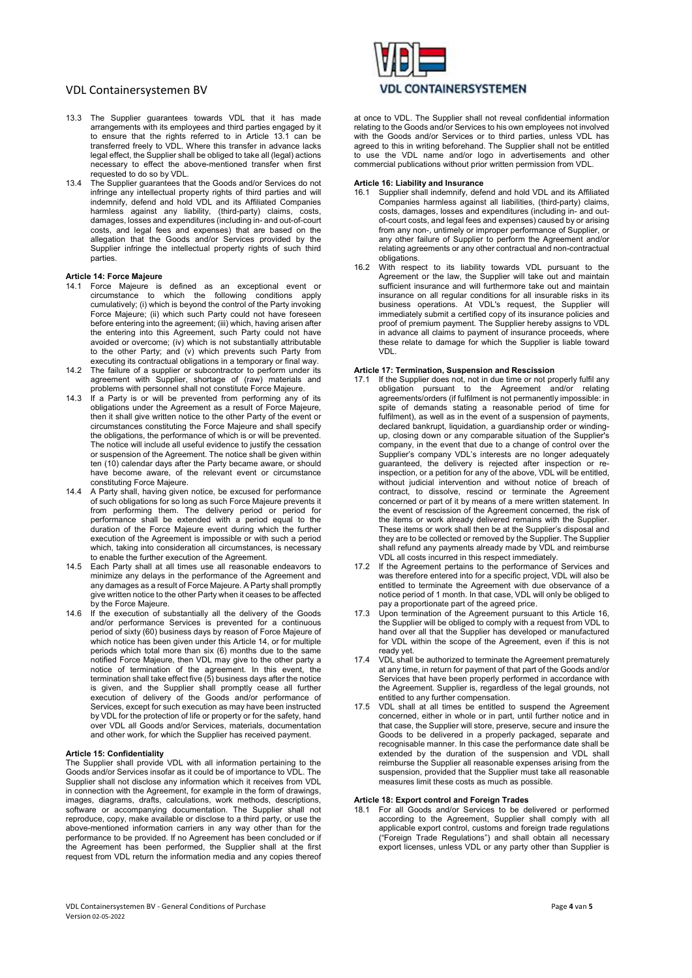- 13.3 The Supplier guarantees towards VDL that it has made arrangements with its employees and third parties engaged by it to ensure that the rights referred to in Article 13.1 can be transferred freely to VDL. Where this transfer in advance lacks legal effect, the Supplier shall be obliged to take all (legal) actions necessary to effect the above-mentioned transfer when first requested to do so by VDL.
- 13.4 The Supplier guarantees that the Goods and/or Services do not infringe any intellectual property rights of third parties and will indemnify, defend and hold VDL and its Affiliated Companies harmless against any liability, (third-party) claims, costs, damages, losses and expenditures (including in- and out-of-court costs, and legal fees and expenses) that are based on the allegation that the Goods and/or Services provided by the Supplier infringe the intellectual property rights of such third parties.

## Article 14: Force Majeure

- 14.1 Force Majeure is defined as an exceptional event or circumstance to which the following conditions apply cumulatively; (i) which is beyond the control of the Party invoking Force Majeure; (ii) which such Party could not have foreseen before entering into the agreement; (iii) which, having arisen after the entering into this Agreement, such Party could not have avoided or overcome; (iv) which is not substantially attributable to the other Party; and (v) which prevents such Party from executing its contractual obligations in a temporary or final way.
- 14.2 The failure of a supplier or subcontractor to perform under its agreement with Supplier, shortage of (raw) materials and problems with personnel shall not constitute Force Majeure.
- 14.3 If a Party is or will be prevented from performing any of its obligations under the Agreement as a result of Force Majeure, then it shall give written notice to the other Party of the event or circumstances constituting the Force Majeure and shall specify the obligations, the performance of which is or will be prevented. The notice will include all useful evidence to justify the cessation or suspension of the Agreement. The notice shall be given within ten (10) calendar days after the Party became aware, or should have become aware, of the relevant event or circumstance constituting Force Majeure.
- 14.4 A Party shall, having given notice, be excused for performance of such obligations for so long as such Force Majeure prevents it from performing them. The delivery period or period for performance shall be extended with a period equal to the duration of the Force Majeure event during which the further execution of the Agreement is impossible or with such a period which, taking into consideration all circumstances, is necessary to enable the further execution of the Agreement.
- 14.5 Each Party shall at all times use all reasonable endeavors to minimize any delays in the performance of the Agreement and any damages as a result of Force Majeure. A Party shall promptly give written notice to the other Party when it ceases to be affected by the Force Majeure.
- 14.6 If the execution of substantially all the delivery of the Goods and/or performance Services is prevented for a continuous period of sixty (60) business days by reason of Force Majeure of which notice has been given under this Article 14, or for multiple periods which total more than six (6) months due to the same notified Force Majeure, then VDL may give to the other party a notice of termination of the agreement. In this event, the termination shall take effect five  $(5)$  business days after the notice is given, and the Supplier shall promptly cease all further execution of delivery of the Goods and/or performance of Services, except for such execution as may have been instructed by VDL for the protection of life or property or for the safety, hand over VDL all Goods and/or Services, materials, documentation and other work, for which the Supplier has received payment.

### Article 15: Confidentiality

The Supplier shall provide VDL with all information pertaining to the Goods and/or Services insofar as it could be of importance to VDL. The Supplier shall not disclose any information which it receives from VDL in connection with the Agreement, for example in the form of drawings, images, diagrams, drafts, calculations, work methods, descriptions, software or accompanying documentation. The Supplier shall not reproduce, copy, make available or disclose to a third party, or use the above-mentioned information carriers in any way other than for the performance to be provided. If no Agreement has been concluded or if the Agreement has been performed, the Supplier shall at the first request from VDL return the information media and any copies thereof



at once to VDL. The Supplier shall not reveal confidential information relating to the Goods and/or Services to his own employees not involved with the Goods and/or Services or to third parties, unless VDL has agreed to this in writing beforehand. The Supplier shall not be entitled to use the VDL name and/or logo in advertisements and other commercial publications without prior written permission from VDL.

#### Article 16: Liability and Insurance

- Supplier shall indemnify, defend and hold VDL and its Affiliated Companies harmless against all liabilities, (third-party) claims, costs, damages, losses and expenditures (including in- and outof-court costs, and legal fees and expenses) caused by or arising from any non-, untimely or improper performance of Supplier, or any other failure of Supplier to perform the Agreement and/or relating agreements or any other contractual and non-contractual obligations.
- 16.2 With respect to its liability towards VDL pursuant to the Agreement or the law, the Supplier will take out and maintain sufficient insurance and will furthermore take out and maintain insurance on all regular conditions for all insurable risks in its business operations. At VDL's request, the Supplier will immediately submit a certified copy of its insurance policies and proof of premium payment. The Supplier hereby assigns to VDL in advance all claims to payment of insurance proceeds, where these relate to damage for which the Supplier is liable toward VDL.

# Article 17: Termination, Suspension and Rescission

- 17.1 If the Supplier does not, not in due time or not properly fulfil any obligation pursuant to the Agreement and/or relating agreements/orders (if fulfilment is not permanently impossible: in spite of demands stating a reasonable period of time for fulfilment), as well as in the event of a suspension of payments, declared bankrupt, liquidation, a guardianship order or windingup, closing down or any comparable situation of the Supplier's company, in the event that due to a change of control over the Supplier's company VDL's interests are no longer adequately guaranteed, the delivery is rejected after inspection or reinspection, or a petition for any of the above, VDL will be entitled, without judicial intervention and without notice of breach of contract, to dissolve, rescind or terminate the Agreement concerned or part of it by means of a mere written statement. In the event of rescission of the Agreement concerned, the risk of the items or work already delivered remains with the Supplier. These items or work shall then be at the Supplier's disposal and they are to be collected or removed by the Supplier. The Supplier shall refund any payments already made by VDL and reimburse VDL all costs incurred in this respect immediately.
- 17.2 If the Agreement pertains to the performance of Services and was therefore entered into for a specific project, VDL will also be entitled to terminate the Agreement with due observance of a notice period of 1 month. In that case, VDL will only be obliged to pay a proportionate part of the agreed price.
- 17.3 Upon termination of the Agreement pursuant to this Article 16, the Supplier will be obliged to comply with a request from VDL to hand over all that the Supplier has developed or manufactured for VDL within the scope of the Agreement, even if this is not ready yet.
- 17.4 VDL shall be authorized to terminate the Agreement prematurely at any time, in return for payment of that part of the Goods and/or Services that have been properly performed in accordance with the Agreement. Supplier is, regardless of the legal grounds, not entitled to any further compensation.
- 17.5 VDL shall at all times be entitled to suspend the Agreement concerned, either in whole or in part, until further notice and in that case, the Supplier will store, preserve, secure and insure the Goods to be delivered in a properly packaged, separate and recognisable manner. In this case the performance date shall be extended by the duration of the suspension and VDL shall reimburse the Supplier all reasonable expenses arising from the suspension, provided that the Supplier must take all reasonable measures limit these costs as much as possible.

# Article 18: Export control and Foreign Trades

18.1 For all Goods and/or Services to be delivered or performed according to the Agreement, Supplier shall comply with all applicable export control, customs and foreign trade regulations ("Foreign Trade Regulations") and shall obtain all necessary export licenses, unless VDL or any party other than Supplier is